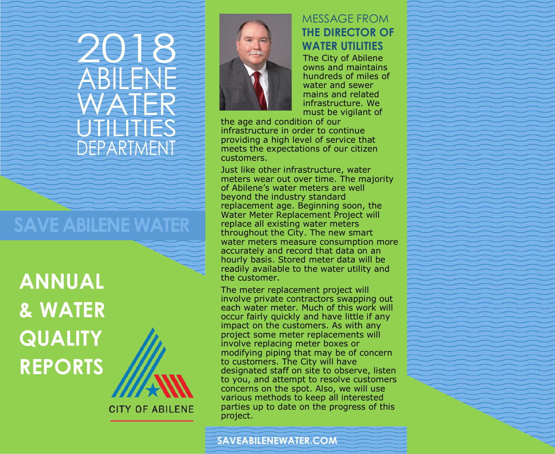# 2018 ABIEN WATER **JTILITIES** DEPARTMENT

## **SAVE ABILENE WATER**

**ANNUAL & WATER QUALITY REPORTS**



**CITY OF ABILENE** 



#### MESSAGE FROM **THE DIRECTOR OF WATER UTILITIES**

The City of Abilene owns and maintains hundreds of miles of water and sewer mains and related infrastructure. We must be vigilant of

the age and condition of our infrastructure in order to continue providing a high level of service that meets the expectations of our citizen customers.

Just like other infrastructure, water meters wear out over time. The majority of Abilene's water meters are well beyond the industry standard replacement age. Beginning soon, the Water Meter Replacement Project will replace all existing water meters throughout the City. The new smart water meters measure consumption more accurately and record that data on an hourly basis. Stored meter data will be readily available to the water utility and the customer.

The meter replacement project will involve private contractors swapping out each water meter. Much of this work will occur fairly quickly and have little if any impact on the customers. As with any project some meter replacements will involve replacing meter boxes or modifying piping that may be of concern to customers. The City will have designated staff on site to observe, listen to you, and attempt to resolve customers concerns on the spot. Also, we will use various methods to keep all interested parties up to date on the progress of this project.

**SAVEABILENEWATER.COM**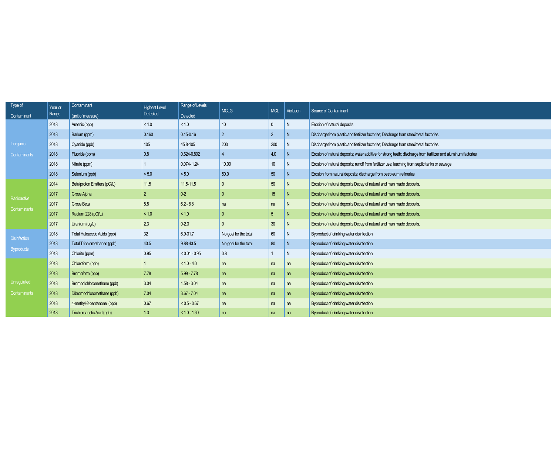| Type of             | Year or | Contaminant                  | <b>Highest Level</b> | Range of Levels |                                                                                                                                                                                                                                                   |                                                                                                                                                                                                                                                                                                                                                                                                                                   |                |                                                                                                                |
|---------------------|---------|------------------------------|----------------------|-----------------|---------------------------------------------------------------------------------------------------------------------------------------------------------------------------------------------------------------------------------------------------|-----------------------------------------------------------------------------------------------------------------------------------------------------------------------------------------------------------------------------------------------------------------------------------------------------------------------------------------------------------------------------------------------------------------------------------|----------------|----------------------------------------------------------------------------------------------------------------|
| Contaminant         | Range   | (unit of measure)            | Detected             | Detected        |                                                                                                                                                                                                                                                   |                                                                                                                                                                                                                                                                                                                                                                                                                                   |                |                                                                                                                |
|                     | 2018    | Arsenic (ppb)                | < 1.0                | < 1.0           | 10                                                                                                                                                                                                                                                | $\mathbf{0}$                                                                                                                                                                                                                                                                                                                                                                                                                      | N.             | Erosion of natural deposits                                                                                    |
|                     | 2018    | Barium (ppm)                 | 0.160                | $0.15 - 0.16$   | $\overline{2}$                                                                                                                                                                                                                                    | $\overline{2}$                                                                                                                                                                                                                                                                                                                                                                                                                    | N.             | Discharge from plastic and fertilizer factories; Discharge from steel/metal factories.                         |
| Inorganic           | 2018    | Cyanide (ppb)                | 105                  | 45.8-105        | 200                                                                                                                                                                                                                                               | 200                                                                                                                                                                                                                                                                                                                                                                                                                               | N              | Discharge from plastic and fertilizer factories; Discharge from steel/metal factories.                         |
| <b>Contaminants</b> | 2018    | Fluoride (ppm)               | 0.8                  | 0.624-0.802     |                                                                                                                                                                                                                                                   | 4.0                                                                                                                                                                                                                                                                                                                                                                                                                               | N <sub>1</sub> | Erosion of natural deposits; water additive for strong teeth; discharge from fertilizer and aluminum factories |
|                     | 2018    | Nitrate (ppm)                |                      | $0.074 - 1.24$  | 10.00                                                                                                                                                                                                                                             | 10                                                                                                                                                                                                                                                                                                                                                                                                                                | N              | Erosion of natural deposits; runoff from fertilizer use; leaching from septic tanks or sewage                  |
|                     | 2018    | Selenium (ppb)               | < 5.0                | < 5.0           | 50.0                                                                                                                                                                                                                                              | 50                                                                                                                                                                                                                                                                                                                                                                                                                                | N              | Erosion from natural deposits; discharge from petroleum refineries                                             |
| Radioactive         | 2014    | Beta/proton Emitters (pCi/L) | 11.5                 | 11.5-11.5       |                                                                                                                                                                                                                                                   | 50                                                                                                                                                                                                                                                                                                                                                                                                                                | N              | Erosion of natural deposits Decay of natural and man made deposits.                                            |
|                     | 2017    | <b>Gross Alpha</b>           | $\overline{2}$       | $0-2$           |                                                                                                                                                                                                                                                   | 15                                                                                                                                                                                                                                                                                                                                                                                                                                | N              | Erosion of natural deposits Decay of natural and man made deposits.                                            |
|                     | 2017    | Gross Beta                   | 8.8                  | $6.2 - 8.8$     | na                                                                                                                                                                                                                                                | na                                                                                                                                                                                                                                                                                                                                                                                                                                | N              | Erosion of natural deposits Decay of natural and man made deposits.                                            |
| Contaminants        | 2017    | Radium 228 (pCi/L)           | < 1.0                | < 1.0           |                                                                                                                                                                                                                                                   | 5                                                                                                                                                                                                                                                                                                                                                                                                                                 | N              | Erosion of natural deposits Decay of natural and man made deposits.                                            |
|                     | 2017    | Uranium (ug/L)               | 2.3                  | $0 - 2.3$       | <b>MCLG</b><br><b>MCL</b><br>Violation<br>30<br>N<br>60<br>No goal for the total<br>N<br>80<br>No goal for the total<br>N<br>0.8<br>N<br>na<br>na<br>na<br>na<br>na<br>na<br>na<br>na<br>na<br>na<br>na<br>na<br>na<br>na<br>na<br>na<br>na<br>na | Erosion of natural deposits Decay of natural and man made deposits.                                                                                                                                                                                                                                                                                                                                                               |                |                                                                                                                |
| <b>Disinfection</b> | 2018    | Total Haloacetic Acids (ppb) | 32                   | 6.9-31.7        |                                                                                                                                                                                                                                                   | Source of Contaminant<br>Byproduct of drinking water disinfection<br>Byproduct of drinking water disinfection<br>Byproduct of drinking water disinfection<br>Byproduct of drinking water disinfection<br>Byproduct of drinking water disinfection<br>Byproduct of drinking water disinfection<br>Byproduct of drinking water disinfection<br>Byproduct of drinking water disinfection<br>Byproduct of drinking water disinfection |                |                                                                                                                |
|                     | 2018    | Total Trihalomethanes (ppb)  | 43.5                 | 9.88-43.5       |                                                                                                                                                                                                                                                   |                                                                                                                                                                                                                                                                                                                                                                                                                                   |                |                                                                                                                |
| <b>Byproducts</b>   | 2018    | Chlorite (ppm)               | 0.95                 | $< 0.01 - 0.95$ |                                                                                                                                                                                                                                                   |                                                                                                                                                                                                                                                                                                                                                                                                                                   |                |                                                                                                                |
|                     | 2018    | Chloroform (ppb)             |                      | $< 1.0 - 4.0$   |                                                                                                                                                                                                                                                   |                                                                                                                                                                                                                                                                                                                                                                                                                                   |                |                                                                                                                |
|                     | 2018    | Bromoform (ppb)              | 7.78                 | $5.99 - 7.78$   |                                                                                                                                                                                                                                                   |                                                                                                                                                                                                                                                                                                                                                                                                                                   |                |                                                                                                                |
| Unregulated         | 2018    | Bromodichloromethane (ppb)   | 3.04                 | $1.58 - 3.04$   |                                                                                                                                                                                                                                                   |                                                                                                                                                                                                                                                                                                                                                                                                                                   |                |                                                                                                                |
| Contaminants        | 2018    | Dibromochloromethane (ppb)   | 7.04                 | $3.67 - 7.04$   |                                                                                                                                                                                                                                                   |                                                                                                                                                                                                                                                                                                                                                                                                                                   |                |                                                                                                                |
|                     | 2018    | 4-methyl-2-pentanone (ppb)   | 0.67                 | $< 0.5 - 0.67$  |                                                                                                                                                                                                                                                   |                                                                                                                                                                                                                                                                                                                                                                                                                                   |                |                                                                                                                |
|                     | 2018    | Trichloroacetic Acid (ppb)   | 1.3                  | $< 1.0 - 1.30$  |                                                                                                                                                                                                                                                   |                                                                                                                                                                                                                                                                                                                                                                                                                                   |                |                                                                                                                |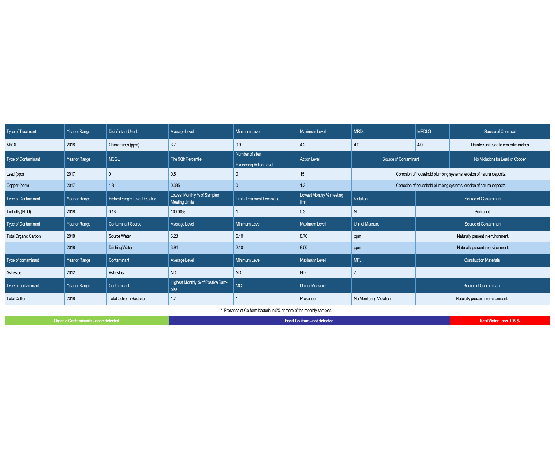| Type of Treatment                                                     | Year or Range                               | <b>Disinfectant Used</b>             | Average Level                                 | <b>Minimum Level</b>                             | <b>Maximum Level</b>              | <b>MRDL</b>                                                           | <b>MRDLG</b> | Source of Chemical                    |
|-----------------------------------------------------------------------|---------------------------------------------|--------------------------------------|-----------------------------------------------|--------------------------------------------------|-----------------------------------|-----------------------------------------------------------------------|--------------|---------------------------------------|
| <b>MRDL</b>                                                           | 2018                                        | Chloramines (ppm)                    | 3.7                                           | 0.9                                              | 4.2                               | 4.0                                                                   | 4.0          | Disinfectant used to control microbes |
| Type of Contaminant                                                   | Year or Range                               | <b>MCGL</b>                          | The 90th Percentile                           | Number of sites<br><b>Exceeding Action Level</b> | <b>Action Level</b>               | Source of Contaminant                                                 |              | No Violations for Lead or Copper      |
| Lead (ppb)                                                            | 2017                                        |                                      | 0.5                                           |                                                  | 15                                | Corrosion of household plumbing systems; erosion of natural deposits. |              |                                       |
| Copper (ppm)                                                          | 2017                                        | 1.3                                  | 0.335                                         |                                                  | 1.3                               | Corrosion of household plumbing systems; erosion of natural deposits. |              |                                       |
| Type of Contaminant                                                   | Year or Range                               | <b>Highest Single Level Detected</b> | Lowest Monthly % of Samples<br>Meeting Limits | Limit (Treatment Technique)                      | Lowest Monthly % meeting<br>limit | Violation                                                             |              | Source of Contaminant                 |
| Turbidity (NTU)                                                       | 2018                                        | 0.18                                 | 100.00%                                       |                                                  | 0.3                               | N                                                                     |              | Soil runoff.                          |
| Type of Contaminant                                                   | Year or Range                               | <b>Contaminant Source</b>            | <b>Average Level</b>                          | Minimum Level                                    | Maximum Level                     | Unit of Measure                                                       |              | Source of Contaminant                 |
| <b>Total Organic Carbon</b>                                           | 2018                                        | Source Water                         | 6.23                                          | 5.10                                             | 8.70                              | ppm                                                                   |              | Naturally present in environment.     |
|                                                                       | 2018                                        | <b>Drinking Water</b>                | 3.94                                          | 2.10                                             | 8.50                              | ppm                                                                   |              | Naturally present in environment.     |
| Type of contaminant                                                   | Year or Range                               | Contaminant                          | <b>Average Level</b>                          | <b>Minimum Level</b>                             | Maximum Level                     | <b>MFL</b>                                                            |              | <b>Construction Materials</b>         |
| Asbestos                                                              | 2012                                        | Asbestos                             | <b>ND</b>                                     | ND                                               | <b>ND</b>                         |                                                                       |              |                                       |
| Type of contaminant                                                   | Year or Range                               | Contaminant                          | Highest Monthly % of Positive Sam-<br>ples    | <b>MCL</b>                                       | Unit of Measure                   |                                                                       |              | Source of Contaminant                 |
| <b>Total Coliform</b>                                                 | 2018                                        | <b>Total Coliform Bacteria</b>       | 1.7                                           |                                                  | Presence                          | No Monitoring Violation                                               |              | Naturally present in environment.     |
| * Presence of Coliform bacteria in 5% or more of the monthly samples. |                                             |                                      |                                               |                                                  |                                   |                                                                       |              |                                       |
|                                                                       | <b>Organic Contaminants - none detected</b> |                                      |                                               | Real Water Loss 9.05%                            |                                   |                                                                       |              |                                       |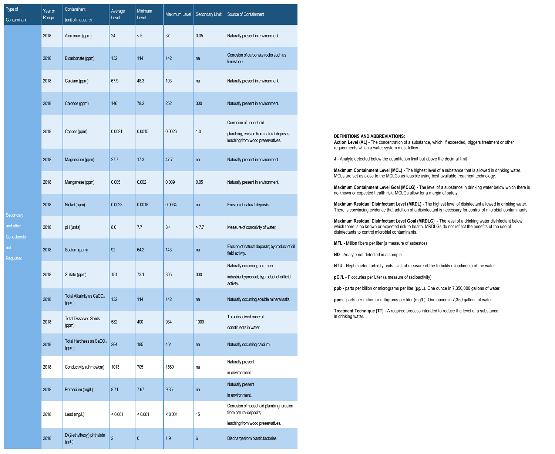| Type of<br>Contaminant           | Year or<br>Range | Contaminant<br>(unit of measure)               | Average<br>Level | Minimum<br>Level | Maximum Level | Secondary Limit  | Source of Containment                                                                                   |
|----------------------------------|------------------|------------------------------------------------|------------------|------------------|---------------|------------------|---------------------------------------------------------------------------------------------------------|
|                                  | 2018             | Aluminum (ppm)                                 | 24               | < 5              | 37            | 0.05             | Naturally present in environment.                                                                       |
|                                  | 2018             | Bicarbonate (ppm)                              | 132              | 114              | 142           | na               | Corrosion of carbonate rocks such as<br>limestone.                                                      |
|                                  | 2018             | Calcium (ppm)                                  | 67.9             | 48.3             | 103           | na               | Naturally present in environment.                                                                       |
|                                  | 2018             | Chloride (ppm)                                 | 146              | 79.2             | 252           | 300              | Naturally present in environment.                                                                       |
|                                  | 2018             | Copper (ppm)                                   | 0.0021           | 0.0015           | 0.0026        | 1.0              | Corrosion of household<br>plumbing, erosion from natural deposits;<br>leaching from wood preservatives. |
|                                  | 2018             | Magnesium (ppm)                                | 27.7             | 17.3             | 47.7          | na               | Naturally present in environment.                                                                       |
|                                  | 2018             | Manganese (ppm)                                | 0.005            | 0.002            | 0.009         | 0.05             | Naturally present in environment.                                                                       |
| Secondary                        | 2018             | Nickel (ppm)                                   | 0.0023           | 0.0018           | 0.0034        | na               | Erosion of natural deposits.                                                                            |
| and other<br><b>Constituents</b> | 2018             | pH (units)                                     | 8.0              | 7.7              | 8.4           | > 7.7            | Measure of corrosivity of water.                                                                        |
| not<br>Regulated                 | 2018             | Sodium (ppm)                                   | 92               | 64.2             | 143           | na               | Erosion of natural deposits; byproduct of oil<br>field activity.                                        |
|                                  | 2018             | Sulfate (ppm)                                  | 151              | 73.1             | 305           | 300              | Naturally occurring; common<br>industrial byproduct; byproduct of oil field<br>activity.                |
|                                  | 2018             | Total Alkalinity as CaCO <sub>3</sub><br>(ppm) | 132              | 114              | 142           | na               | Naturally occurring soluble mineral salts.                                                              |
|                                  | 2018             | <b>Total Dissolved Solids</b><br>(ppm)         | 582              | 400              | 934           | 1000             | Total dissolved mineral<br>constituents in water.                                                       |
|                                  | 2018             | Total Hardness as CaCO <sub>3</sub><br>(ppm)   | 284              | 195              | 454           | na               | Naturally occurring calcium.                                                                            |
|                                  | 2018             | Conductivity (uhmos/cm)                        | 1013             | 705              | 1560          | na               | Naturally present<br>in environment.                                                                    |
|                                  | 2018             | Potassium (mg/L)                               | 8.71             | 7.67             | 9.35          | na               | Naturally present<br>in environment.                                                                    |
|                                  | 2018             | Lead (mg/L)                                    | < 0.001          | < 0.001          | < 0.001       | 15               | Corrosion of household plumbing, erosion<br>from natural deposits;                                      |
|                                  | 2018             | Di(2-ethylhexyl) phthalate<br>(ppb)            | $\overline{2}$   | $\pmb{0}$        | 1.9           | $\boldsymbol{6}$ | leaching from wood preservatives.<br>Discharge from plastic factories                                   |

 $T$ <sub>ype</sub> Conta

#### **DEFINITIONS AND ABBREVIATIONS:**

Action Level (AL) - The concentration of a substance, which, if exceeded, triggers treatment or other requirements which a water system must follow

**J** - Analyte detected below the quantitation limit but above the decimal limit

**Maximum Containment Level (MCL)** - The highest level of a substance that is allowed in drinking water. MCLs are set as close to the MCLGs as feasible using best available treatment technology.

**Maximum Containment Level Goal (MCLG)** - The level of a substance in drinking water below which there is no known or expected health risk. MCLGs allow for a margin of safety.

**Maximum Residual Disinfectant Level (MRDL)** - The highest level of disinfectant allowed in drinking water. There is convincing evidence that addition of a disinfectant is necessary for control of microbial contaminants.

**Maximum Residual Disinfectant Level Goal (MRDLG)** - The level of a drinking water disinfectant below which there is no known or expected risk to health. MRDLGs do not reflect the benefits of the use of disinfectants to control microbial contaminants.

**MFL** - Million fibers per liter (a measure of asbestos)

**ND** - Analyte not detected in a sample

**NTU** - Nepheloetric turbidity units. Unit of measure of the turbidity (cloudiness) of the water

**pCi/L** - Picocuries per Liter (a measure of radioactivity)

**ppb** - parts per billion or micrograms per liter (μg/L). One ounce in 7,350,000 gallons of water.

**ppm** - parts per million or milligrams per liter (mg/L). One ounce in 7,350 gallons of water.

**Treatment Technique (TT)** - A required process intended to reduce the level of a substance in drinking water.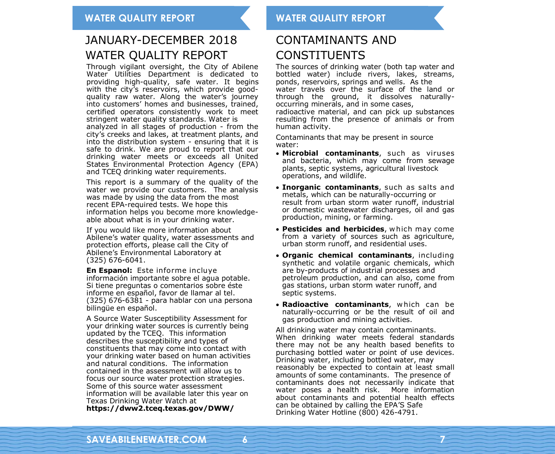## JANUARY-DECEMBER 2018 WATER QUALITY REPORT

Through vigilant oversight, the City of Abilene Water Utilities Department is dedicated to providing high-quality, safe water. It begins with the city's reservoirs, which provide goodquality raw water. Along the water's journey into customers' homes and businesses, trained, certified operators consistently work to meet stringent water quality standards. Water is analyzed in all stages of production - from the city's creeks and lakes, at treatment plants, and into the distribution system - ensuring that it is safe to drink. We are proud to report that our drinking water meets or exceeds all United States Environmental Protection Agency (EPA) and TCEQ drinking water requirements.

This report is a summary of the quality of the water we provide our customers. The analysis was made by using the data from the most recent EPA-required tests. We hope this information helps you become more knowledgeable about what is in your drinking water.

If you would like more information about Abilene's water quality, water assessments and protection efforts, please call the City of Abilene's Environmental Laboratory at (325) 676-6041.

**En Espanol:** Este informe incluye información importante sobre el agua potable. Si tiene preguntas o comentarios sobre éste informe en español, favor de llamar al tel. (325) 676-6381 - para hablar con una persona bilingüe en español.

A Source Water Susceptibility Assessment for your drinking water sources is currently being updated by the TCEQ. This information describes the susceptibility and types of constituents that may come into contact with your drinking water based on human activities and natural conditions. The information contained in the assessment will allow us to focus our source water protection strategies. Some of this source water assessment information will be available later this year on Texas Drinking Water Watch at **https://dww2.tceq.texas.gov/DWW/** 

### CONTAMINANTS AND **CONSTITUENTS**

The sources of drinking water (both tap water and bottled water) include rivers, lakes, streams, ponds, reservoirs, springs and wells. As the water travels over the surface of the land or through the ground, it dissolves naturallyoccurring minerals, and in some cases, radioactive material, and can pick up substances

resulting from the presence of animals or from human activity.

Contaminants that may be present in source water:

- **Microbial contaminants**, such as viruses and bacteria, which may come from sewage plants, septic systems, agricultural livestock operations, and wildlife.
- **Inorganic contaminants**, such as salts and metals, which can be naturally-occurring or result from urban storm water runoff, industrial or domestic wastewater discharges, oil and gas production, mining, or farming.
- **Pesticides and herbicides**, w hich may come from a variety of sources such as agriculture, urban storm runoff, and residential uses.
- **Organic chemical contaminants**, including synthetic and volatile organic chemicals, which are by-products of industrial processes and petroleum production, and can also, come from gas stations, urban storm water runoff, and septic systems.
- **Radioactive contaminants**, w hich can be naturally-occurring or be the result of oil and gas production and mining activities.

All drinking water may contain contaminants. When drinking water meets federal standards there may not be any health based benefits to purchasing bottled water or point of use devices. Drinking water, including bottled water, may reasonably be expected to contain at least small amounts of some contaminants. The presence of contaminants does not necessarily indicate that water poses a health risk. More information about contaminants and potential health effects can be obtained by calling the EPA'S Safe Drinking Water Hotline (800) 426-4791.

**6 7**